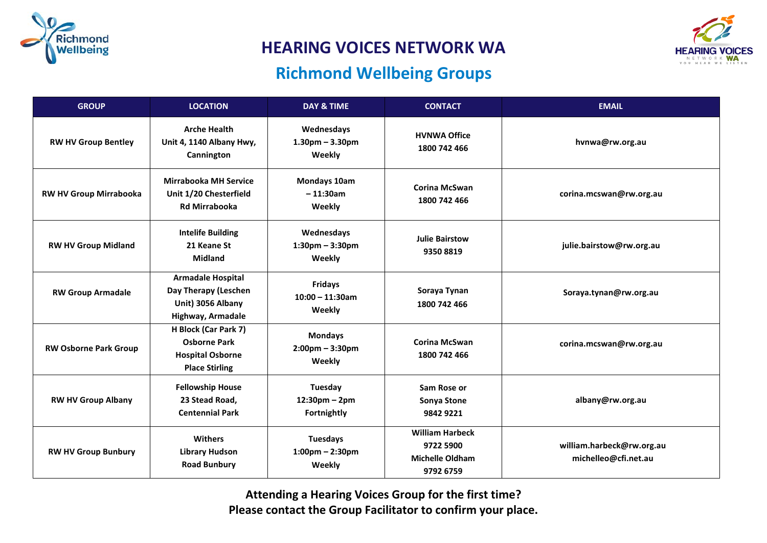

**HEARING VOICES NETWORK WA** 

## **Richmond Wellbeing Groups**



| <b>GROUP</b>                  | <b>LOCATION</b>                                                                                 | <b>DAY &amp; TIME</b>                             | <b>CONTACT</b>                                                             | <b>EMAIL</b>                                      |
|-------------------------------|-------------------------------------------------------------------------------------------------|---------------------------------------------------|----------------------------------------------------------------------------|---------------------------------------------------|
| <b>RW HV Group Bentley</b>    | <b>Arche Health</b><br>Unit 4, 1140 Albany Hwy,<br>Cannington                                   | Wednesdays<br>$1.30pm - 3.30pm$<br>Weekly         | <b>HVNWA Office</b><br>1800 742 466                                        | hvnwa@rw.org.au                                   |
| <b>RW HV Group Mirrabooka</b> | <b>Mirrabooka MH Service</b><br>Unit 1/20 Chesterfield<br><b>Rd Mirrabooka</b>                  | Mondays 10am<br>$-11:30am$<br>Weekly              | <b>Corina McSwan</b><br>1800 742 466                                       | corina.mcswan@rw.org.au                           |
| <b>RW HV Group Midland</b>    | <b>Intelife Building</b><br>21 Keane St<br><b>Midland</b>                                       | Wednesdays<br>$1:30$ pm - $3:30$ pm<br>Weekly     | <b>Julie Bairstow</b><br>9350 8819                                         | julie.bairstow@rw.org.au                          |
| <b>RW Group Armadale</b>      | <b>Armadale Hospital</b><br>Day Therapy (Leschen<br>Unit) 3056 Albany<br>Highway, Armadale      | <b>Fridays</b><br>$10:00 - 11:30$ am<br>Weekly    | Soraya Tynan<br>1800 742 466                                               | Soraya.tynan@rw.org.au                            |
| <b>RW Osborne Park Group</b>  | H Block (Car Park 7)<br><b>Osborne Park</b><br><b>Hospital Osborne</b><br><b>Place Stirling</b> | <b>Mondays</b><br>$2:00$ pm – $3:30$ pm<br>Weekly | <b>Corina McSwan</b><br>1800 742 466                                       | corina.mcswan@rw.org.au                           |
| <b>RW HV Group Albany</b>     | <b>Fellowship House</b><br>23 Stead Road,<br><b>Centennial Park</b>                             | Tuesday<br>$12:30$ pm – 2pm<br>Fortnightly        | Sam Rose or<br>Sonya Stone<br>9842 9221                                    | albany@rw.org.au                                  |
| <b>RW HV Group Bunbury</b>    | <b>Withers</b><br><b>Library Hudson</b><br><b>Road Bunbury</b>                                  | <b>Tuesdays</b><br>$1:00$ pm - 2:30pm<br>Weekly   | <b>William Harbeck</b><br>9722 5900<br><b>Michelle Oldham</b><br>9792 6759 | william.harbeck@rw.org.au<br>michelleo@cfi.net.au |

**Attending a Hearing Voices Group for the first time? Please contact the Group Facilitator to confirm your place.**